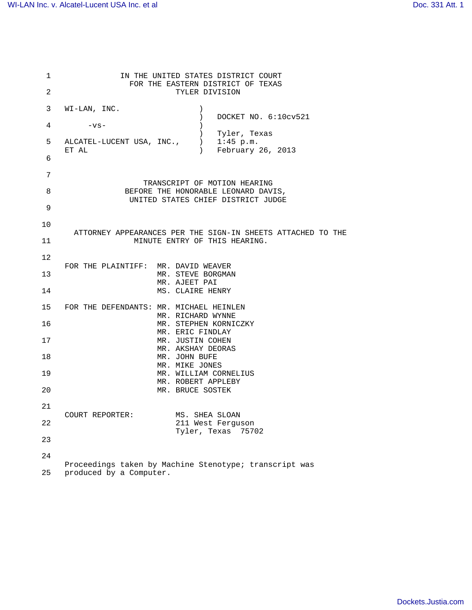| $\mathbf 1$    | IN THE UNITED STATES DISTRICT COURT                                                      |
|----------------|------------------------------------------------------------------------------------------|
| $\overline{2}$ | FOR THE EASTERN DISTRICT OF TEXAS<br>TYLER DIVISION                                      |
| 3              | WI-LAN, INC.                                                                             |
| 4              | DOCKET NO. 6:10cv521<br>$-vs-$                                                           |
|                | Tyler, Texas                                                                             |
| 5              | $\overline{)}$<br>$1:45$ p.m.<br>ALCATEL-LUCENT USA, INC.,<br>February 26, 2013<br>ET AL |
| 6              |                                                                                          |
| 7              | TRANSCRIPT OF MOTION HEARING                                                             |
| 8              | BEFORE THE HONORABLE LEONARD DAVIS,                                                      |
| 9              | UNITED STATES CHIEF DISTRICT JUDGE                                                       |
| 10             |                                                                                          |
|                | ATTORNEY APPEARANCES PER THE SIGN-IN SHEETS ATTACHED TO THE                              |
| 11             | MINUTE ENTRY OF THIS HEARING.                                                            |
| 12             | FOR THE PLAINTIFF: MR. DAVID WEAVER                                                      |
| 13             | MR. STEVE BORGMAN                                                                        |
| 14             | MR. AJEET PAI<br>MS. CLAIRE HENRY                                                        |
| 15             | FOR THE DEFENDANTS: MR. MICHAEL HEINLEN                                                  |
|                | MR. RICHARD WYNNE                                                                        |
| 16             | MR. STEPHEN KORNICZKY<br>MR. ERIC FINDLAY                                                |
| 17             | MR. JUSTIN COHEN                                                                         |
| 18             | MR. AKSHAY DEORAS<br>MR. JOHN BUFE                                                       |
| 19             | MR. MIKE JONES                                                                           |
|                | MR. WILLIAM CORNELIUS<br>MR. ROBERT APPLEBY                                              |
| 20             | MR. BRUCE SOSTEK                                                                         |
| 21             |                                                                                          |
| 22             | MS. SHEA SLOAN<br>COURT REPORTER:<br>211 West Ferguson                                   |
| 23             | Tyler, Texas<br>75702                                                                    |
| 24             |                                                                                          |
| 25             | Proceedings taken by Machine Stenotype; transcript was<br>produced by a Computer.        |
|                |                                                                                          |